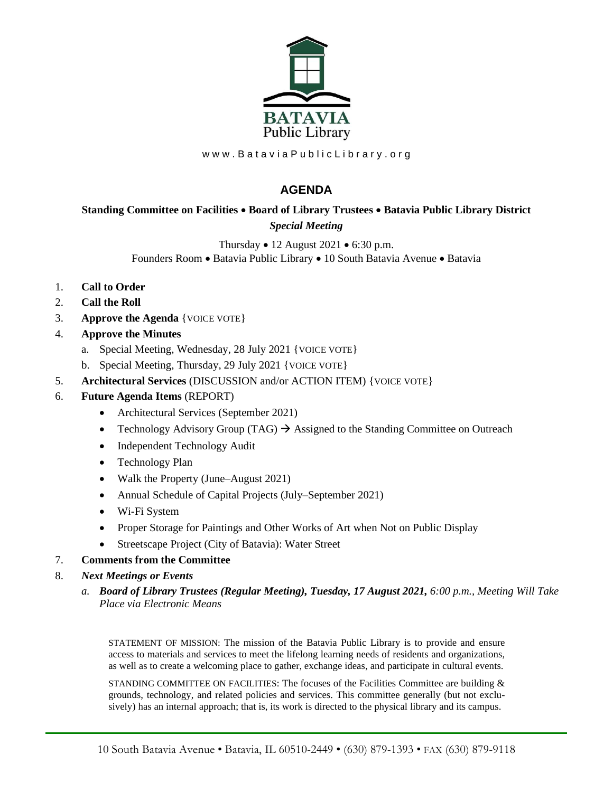

www.BataviaPublicLibrary.org

## **AGENDA**

## **Standing Committee on Facilities** • **Board of Library Trustees** • **Batavia Public Library District** *Special Meeting*

Thursday • 12 August 2021 • 6:30 p.m. Founders Room • Batavia Public Library • 10 South Batavia Avenue • Batavia

- 1. **Call to Order**
- 2. **Call the Roll**
- 3. **Approve the Agenda** {VOICE VOTE}
- 4. **Approve the Minutes**
	- a. Special Meeting, Wednesday, 28 July 2021 {VOICE VOTE}
	- b. Special Meeting, Thursday, 29 July 2021 {VOICE VOTE}
- 5. **Architectural Services** (DISCUSSION and/or ACTION ITEM) {VOICE VOTE}
- 6. **Future Agenda Items** (REPORT)
	- Architectural Services (September 2021)
	- Technology Advisory Group (TAG)  $\rightarrow$  Assigned to the Standing Committee on Outreach
	- Independent Technology Audit
	- Technology Plan
	- Walk the Property (June–August 2021)
	- Annual Schedule of Capital Projects (July–September 2021)
	- Wi-Fi System
	- Proper Storage for Paintings and Other Works of Art when Not on Public Display
	- Streetscape Project (City of Batavia): Water Street

## 7. **Comments from the Committee**

- 8. *Next Meetings or Events*
	- *a. Board of Library Trustees (Regular Meeting), Tuesday, 17 August 2021, 6:00 p.m., Meeting Will Take Place via Electronic Means*

STATEMENT OF MISSION: The mission of the Batavia Public Library is to provide and ensure access to materials and services to meet the lifelong learning needs of residents and organizations, as well as to create a welcoming place to gather, exchange ideas, and participate in cultural events.

STANDING COMMITTEE ON FACILITIES: The focuses of the Facilities Committee are building  $\&$ grounds, technology, and related policies and services. This committee generally (but not exclusively) has an internal approach; that is, its work is directed to the physical library and its campus.